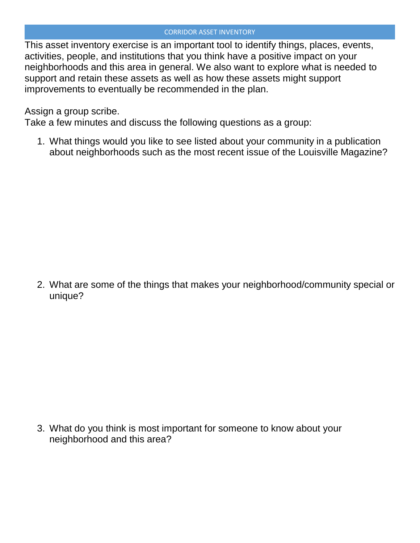## CORRIDOR ASSET INVENTORY

This asset inventory exercise is an important tool to identify things, places, events, activities, people, and institutions that you think have a positive impact on your neighborhoods and this area in general. We also want to explore what is needed to support and retain these assets as well as how these assets might support improvements to eventually be recommended in the plan.

Assign a group scribe.

Take a few minutes and discuss the following questions as a group:

1. What things would you like to see listed about your community in a publication about neighborhoods such as the most recent issue of the Louisville Magazine?

2. What are some of the things that makes your neighborhood/community special or unique?

3. What do you think is most important for someone to know about your neighborhood and this area?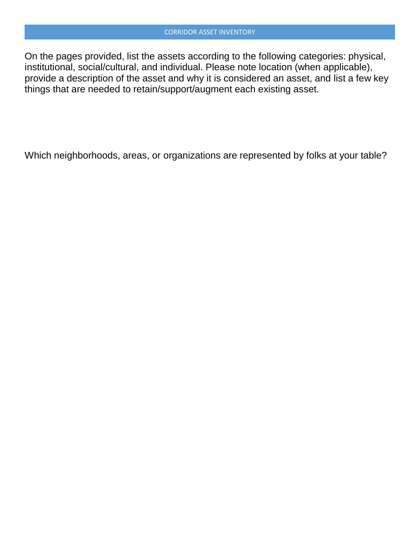On the pages provided, list the assets according to the following categories: physical, institutional, social/cultural, and individual. Please note location (when applicable), provide a description of the asset and why it is considered an asset, and list a few key things that are needed to retain/support/augment each existing asset.

Which neighborhoods, areas, or organizations are represented by folks at your table?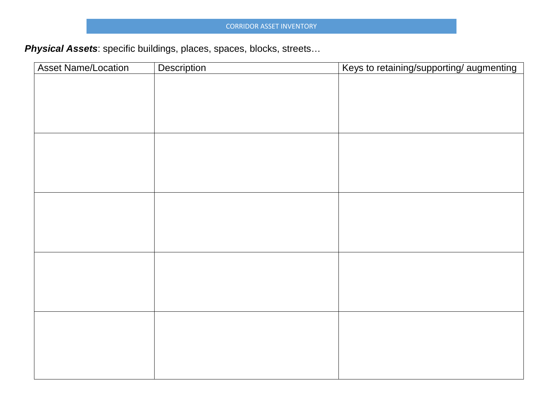*Physical Assets*: specific buildings, places, spaces, blocks, streets…

| <b>Asset Name/Location</b> | Description | Keys to retaining/supporting/ augmenting |
|----------------------------|-------------|------------------------------------------|
|                            |             |                                          |
|                            |             |                                          |
|                            |             |                                          |
|                            |             |                                          |
|                            |             |                                          |
|                            |             |                                          |
|                            |             |                                          |
|                            |             |                                          |
|                            |             |                                          |
|                            |             |                                          |
|                            |             |                                          |
|                            |             |                                          |
|                            |             |                                          |
|                            |             |                                          |
|                            |             |                                          |
|                            |             |                                          |
|                            |             |                                          |
|                            |             |                                          |
|                            |             |                                          |
|                            |             |                                          |
|                            |             |                                          |
|                            |             |                                          |
|                            |             |                                          |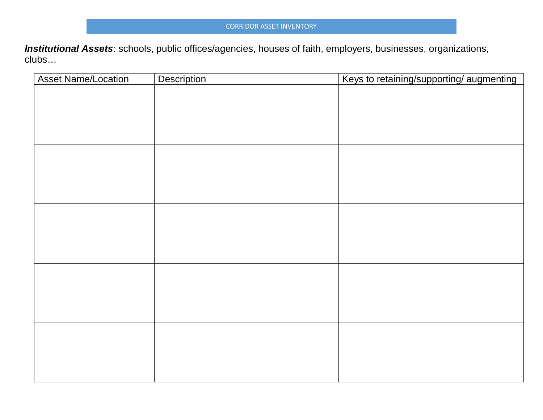*Institutional Assets*: schools, public offices/agencies, houses of faith, employers, businesses, organizations, clubs…

| <b>Asset Name/Location</b> | Description | Keys to retaining/supporting/ augmenting |
|----------------------------|-------------|------------------------------------------|
|                            |             |                                          |
|                            |             |                                          |
|                            |             |                                          |
|                            |             |                                          |
|                            |             |                                          |
|                            |             |                                          |
|                            |             |                                          |
|                            |             |                                          |
|                            |             |                                          |
|                            |             |                                          |
|                            |             |                                          |
|                            |             |                                          |
|                            |             |                                          |
|                            |             |                                          |
|                            |             |                                          |
|                            |             |                                          |
|                            |             |                                          |
|                            |             |                                          |
|                            |             |                                          |
|                            |             |                                          |
|                            |             |                                          |
|                            |             |                                          |
|                            |             |                                          |
|                            |             |                                          |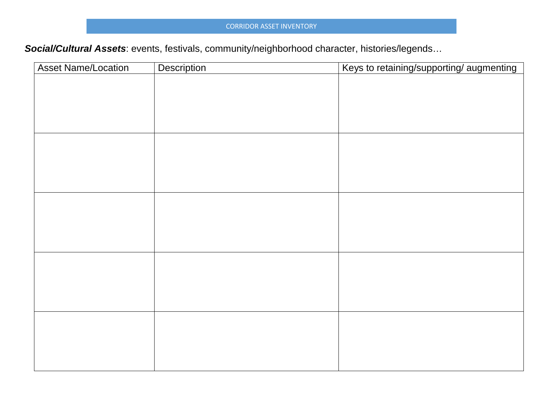## CORRIDOR ASSET INVENTORY

*Social/Cultural Assets*: events, festivals, community/neighborhood character, histories/legends…

| <b>Asset Name/Location</b> | Description | Keys to retaining/supporting/augmenting |
|----------------------------|-------------|-----------------------------------------|
|                            |             |                                         |
|                            |             |                                         |
|                            |             |                                         |
|                            |             |                                         |
|                            |             |                                         |
|                            |             |                                         |
|                            |             |                                         |
|                            |             |                                         |
|                            |             |                                         |
|                            |             |                                         |
|                            |             |                                         |
|                            |             |                                         |
|                            |             |                                         |
|                            |             |                                         |
|                            |             |                                         |
|                            |             |                                         |
|                            |             |                                         |
|                            |             |                                         |
|                            |             |                                         |
|                            |             |                                         |
|                            |             |                                         |
|                            |             |                                         |
|                            |             |                                         |
|                            |             |                                         |
|                            |             |                                         |